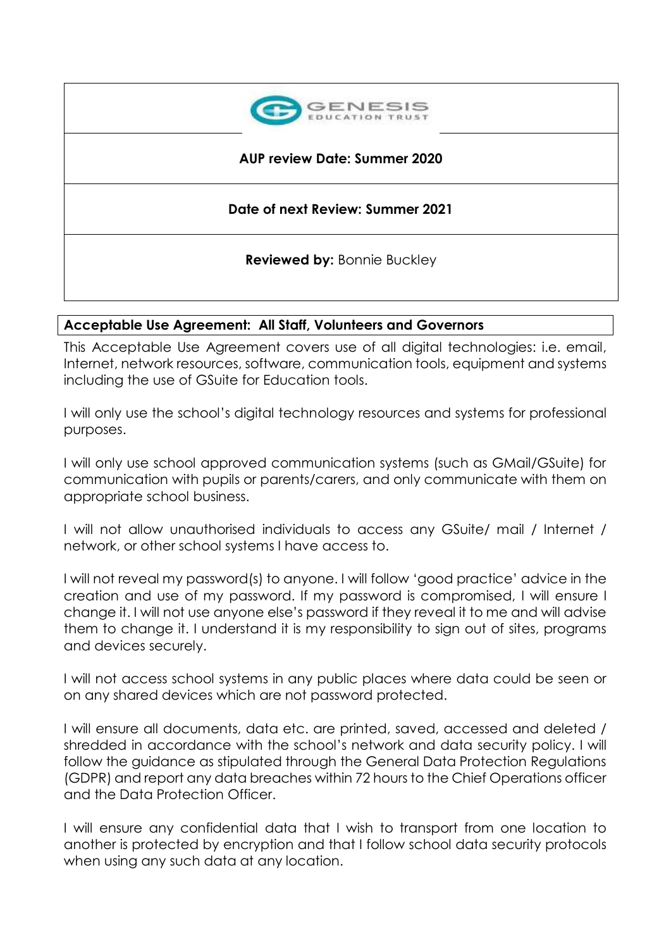

### **AUP review Date: Summer 2020**

## **Date of next Review: Summer 2021**

**Reviewed by:** Bonnie Buckley

### **Acceptable Use Agreement: All Staff, Volunteers and Governors**

This Acceptable Use Agreement covers use of all digital technologies: i.e. email, Internet, network resources, software, communication tools, equipment and systems including the use of GSuite for Education tools.

I will only use the school's digital technology resources and systems for professional purposes.

I will only use school approved communication systems (such as GMail/GSuite) for communication with pupils or parents/carers, and only communicate with them on appropriate school business.

I will not allow unauthorised individuals to access any GSuite/ mail / Internet / network, or other school systems I have access to.

I will not reveal my password(s) to anyone. I will follow 'good practice' advice in the creation and use of my password. If my password is compromised, I will ensure I change it. I will not use anyone else's password if they reveal it to me and will advise them to change it. I understand it is my responsibility to sign out of sites, programs and devices securely.

I will not access school systems in any public places where data could be seen or on any shared devices which are not password protected.

I will ensure all documents, data etc. are printed, saved, accessed and deleted / shredded in accordance with the school's network and data security policy. I will follow the guidance as stipulated through the General Data Protection Regulations (GDPR) and report any data breaches within 72 hours to the Chief Operations officer and the Data Protection Officer.

I will ensure any confidential data that I wish to transport from one location to another is protected by encryption and that I follow school data security protocols when using any such data at any location.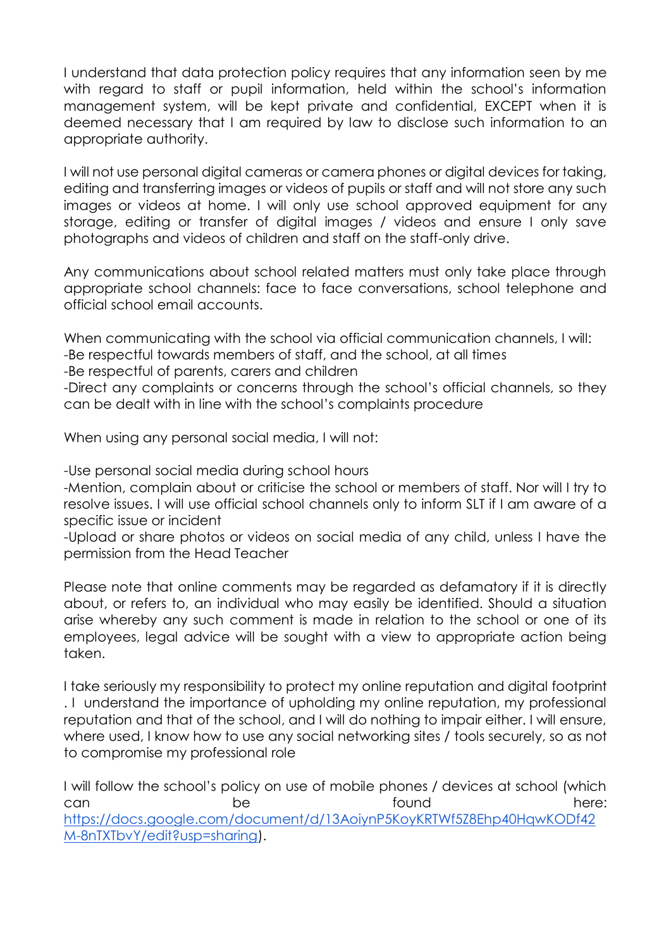I understand that data protection policy requires that any information seen by me with regard to staff or pupil information, held within the school's information management system, will be kept private and confidential, EXCEPT when it is deemed necessary that I am required by law to disclose such information to an appropriate authority.

I will not use personal digital cameras or camera phones or digital devices for taking, editing and transferring images or videos of pupils or staff and will not store any such images or videos at home. I will only use school approved equipment for any storage, editing or transfer of digital images / videos and ensure I only save photographs and videos of children and staff on the staff-only drive.

Any communications about school related matters must only take place through appropriate school channels: face to face conversations, school telephone and official school email accounts.

When communicating with the school via official communication channels, I will:

-Be respectful towards members of staff, and the school, at all times

-Be respectful of parents, carers and children

-Direct any complaints or concerns through the school's official channels, so they can be dealt with in line with the school's complaints procedure

When using any personal social media, I will not:

-Use personal social media during school hours

-Mention, complain about or criticise the school or members of staff. Nor will I try to resolve issues. I will use official school channels only to inform SLT if I am aware of a specific issue or incident

-Upload or share photos or videos on social media of any child, unless I have the permission from the Head Teacher

Please note that online comments may be regarded as defamatory if it is directly about, or refers to, an individual who may easily be identified. Should a situation arise whereby any such comment is made in relation to the school or one of its employees, legal advice will be sought with a view to appropriate action being taken.

I take seriously my responsibility to protect my online reputation and digital footprint . I understand the importance of upholding my online reputation, my professional reputation and that of the school, and I will do nothing to impair either. I will ensure, where used, I know how to use any social networking sites / tools securely, so as not to compromise my professional role

I will follow the school's policy on use of mobile phones / devices at school (which can be be found here: [https://docs.google.com/document/d/13AoiynP5KoyKRTWf5Z8Ehp40HqwKODf42](https://docs.google.com/document/d/13AoiynP5KoyKRTWf5Z8Ehp40HqwKODf42M-8nTXTbvY/edit?usp=sharing) [M-8nTXTbvY/edit?usp=sharing\)](https://docs.google.com/document/d/13AoiynP5KoyKRTWf5Z8Ehp40HqwKODf42M-8nTXTbvY/edit?usp=sharing).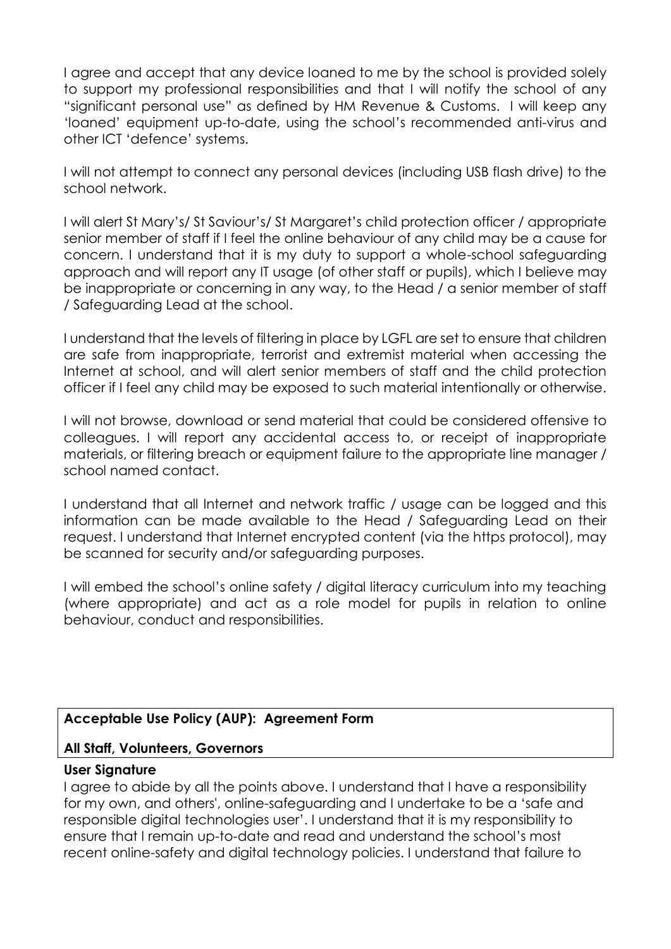I agree and accept that any device loaned to me by the school is provided solely to support my professional responsibilities and that I will notify the school of any "significant personal use" as defined by HM Revenue & Customs. I will keep any 'loaned' equipment up-to-date, using the school's recommended anti-virus and other ICT 'defence' systems.

I will not attempt to connect any personal devices (including USB flash drive) to the school network.

I will alert St Mary's/ St Saviour's/ St Margaret's child protection officer / appropriate senior member of staff if I feel the online behaviour of any child may be a cause for concern. I understand that it is my duty to support a whole-school safeguarding approach and will report any IT usage (of other staff or pupils), which I believe may be inappropriate or concerning in any way, to the Head / a senior member of staff / Safeguarding Lead at the school.

I understand that the levels of filtering in place by LGFL are set to ensure that children are safe from inappropriate, terrorist and extremist material when accessing the Internet at school, and will alert senior members of staff and the child protection officer if I feel any child may be exposed to such material intentionally or otherwise.

I will not browse, download or send material that could be considered offensive to colleagues. I will report any accidental access to, or receipt of inappropriate materials, or filtering breach or equipment failure to the appropriate line manager / school named contact.

I understand that all Internet and network traffic / usage can be logged and this information can be made available to the Head / Safeguarding Lead on their request. I understand that Internet encrypted content (via the https protocol), may be scanned for security and/or safeguarding purposes.

I will embed the school's online safety / digital literacy curriculum into my teaching (where appropriate) and act as a role model for pupils in relation to online behaviour, conduct and responsibilities.

# **Acceptable Use Policy (AUP): Agreement Form**

### **All Staff, Volunteers, Governors**

#### **User Signature**

I agree to abide by all the points above. I understand that I have a responsibility for my own, and others', online-safeguarding and I undertake to be a 'safe and responsible digital technologies user'. I understand that it is my responsibility to ensure that I remain up-to-date and read and understand the school's most recent online-safety and digital technology policies. I understand that failure to